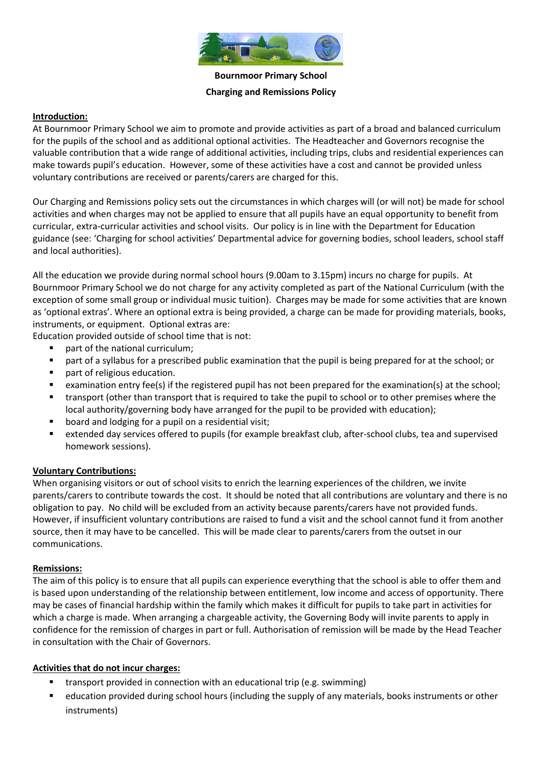

**Bournmoor Primary School Charging and Remissions Policy**

#### **Introduction:**

At Bournmoor Primary School we aim to promote and provide activities as part of a broad and balanced curriculum for the pupils of the school and as additional optional activities. The Headteacher and Governors recognise the valuable contribution that a wide range of additional activities, including trips, clubs and residential experiences can make towards pupil's education. However, some of these activities have a cost and cannot be provided unless voluntary contributions are received or parents/carers are charged for this.

Our Charging and Remissions policy sets out the circumstances in which charges will (or will not) be made for school activities and when charges may not be applied to ensure that all pupils have an equal opportunity to benefit from curricular, extra-curricular activities and school visits. Our policy is in line with the Department for Education guidance (see: 'Charging for school activities' Departmental advice for governing bodies, school leaders, school staff and local authorities).

All the education we provide during normal school hours (9.00am to 3.15pm) incurs no charge for pupils. At Bournmoor Primary School we do not charge for any activity completed as part of the National Curriculum (with the exception of some small group or individual music tuition). Charges may be made for some activities that are known as 'optional extras'. Where an optional extra is being provided, a charge can be made for providing materials, books, instruments, or equipment. Optional extras are:

Education provided outside of school time that is not:

- part of the national curriculum;
- part of a syllabus for a prescribed public examination that the pupil is being prepared for at the school; or
- part of religious education.
- examination entry fee(s) if the registered pupil has not been prepared for the examination(s) at the school;
- transport (other than transport that is required to take the pupil to school or to other premises where the local authority/governing body have arranged for the pupil to be provided with education);
- board and lodging for a pupil on a residential visit;
- extended day services offered to pupils (for example breakfast club, after-school clubs, tea and supervised homework sessions).

## **Voluntary Contributions:**

When organising visitors or out of school visits to enrich the learning experiences of the children, we invite parents/carers to contribute towards the cost. It should be noted that all contributions are voluntary and there is no obligation to pay. No child will be excluded from an activity because parents/carers have not provided funds. However, if insufficient voluntary contributions are raised to fund a visit and the school cannot fund it from another source, then it may have to be cancelled. This will be made clear to parents/carers from the outset in our communications.

#### **Remissions:**

The aim of this policy is to ensure that all pupils can experience everything that the school is able to offer them and is based upon understanding of the relationship between entitlement, low income and access of opportunity. There may be cases of financial hardship within the family which makes it difficult for pupils to take part in activities for which a charge is made. When arranging a chargeable activity, the Governing Body will invite parents to apply in confidence for the remission of charges in part or full. Authorisation of remission will be made by the Head Teacher in consultation with the Chair of Governors.

## **Activities that do not incur charges:**

- transport provided in connection with an educational trip (e.g. swimming)
- education provided during school hours (including the supply of any materials, books instruments or other instruments)